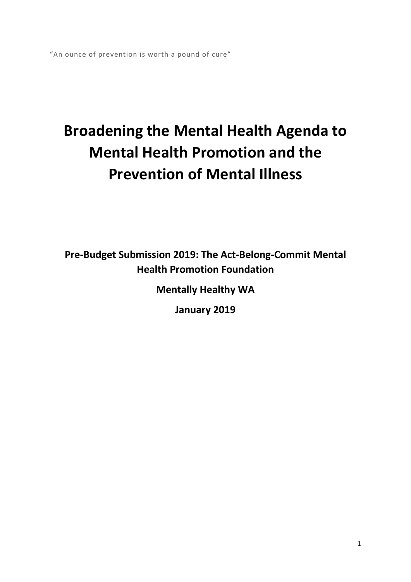"An ounce of prevention is worth a pound of cure"

# **Broadening the Mental Health Agenda to Mental Health Promotion and the Prevention of Mental Illness**

**Pre‐Budget Submission 2019: The Act‐Belong‐Commit Mental Health Promotion Foundation** 

**Mentally Healthy WA** 

**January 2019**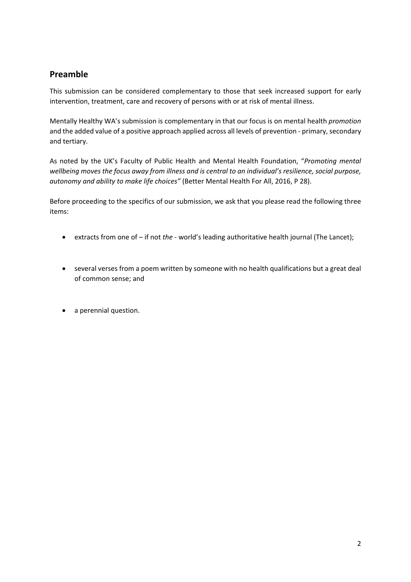#### **Preamble**

This submission can be considered complementary to those that seek increased support for early intervention, treatment, care and recovery of persons with or at risk of mental illness.

Mentally Healthy WA's submission is complementary in that our focus is on mental health *promotion* and the added value of a positive approach applied across all levels of prevention ‐ primary, secondary and tertiary.

As noted by the UK's Faculty of Public Health and Mental Health Foundation, "*Promoting mental wellbeing moves the focus away from illness and is central to an individual's resilience, social purpose, autonomy and ability to make life choices"* (Better Mental Health For All, 2016, P 28).

Before proceeding to the specifics of our submission, we ask that you please read the following three items:

- extracts from one of if not *the* ‐ world's leading authoritative health journal (The Lancet);
- several verses from a poem written by someone with no health qualifications but a great deal of common sense; and
- a perennial question.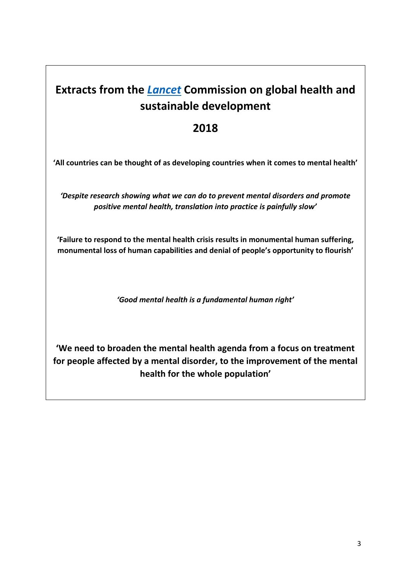## **Extracts from the** *Lancet* **Commission on global health and sustainable development**

## **2018**

**'All countries can be thought of as developing countries when it comes to mental health'** 

*'Despite research showing what we can do to prevent mental disorders and promote positive mental health, translation into practice is painfully slow'* 

**'Failure to respond to the mental health crisis results in monumental human suffering, monumental loss of human capabilities and denial of people's opportunity to flourish'** 

*'Good mental health is a fundamental human right'* 

**'We need to broaden the mental health agenda from a focus on treatment for people affected by a mental disorder, to the improvement of the mental health for the whole population'**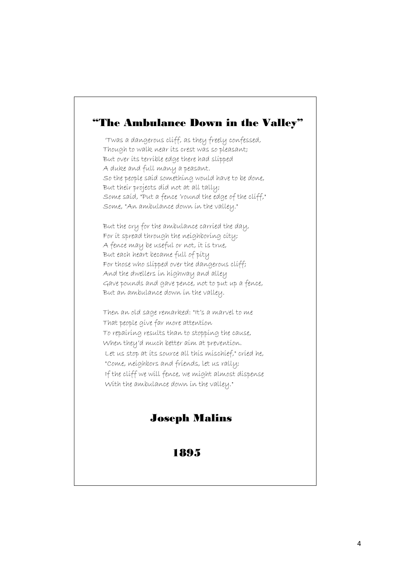## "The Ambulance Down in the Valley"

 'Twas a dangerous cliff, as they freely confessed, Though to walk near its crest was so pleasant; But over its terrible edge there had slipped A duke and full many a peasant. So the people said something would have to be done, But their projects did not at all tally; Some said, "Put a fence 'round the edge of the cliff," Some, "An ambulance down in the valley."

But the cry for the ambulance carried the day, For it spread through the neighboring city; A fence may be useful or not, it is true, But each heart became full of pity For those who slipped over the dangerous cliff; And the dwellers in highway and alley Gave pounds and gave pence, not to put up a fence, But an ambulance down in the valley.

 Then an old sage remarked: "It's a marvel to me That people give far more attention To repairing results than to stopping the cause, When they'd much better aim at prevention. Let us stop at its source all this mischief," cried he, "Come, neighbors and friends, let us rally; If the cliff we will fence, we might almost dispense With the ambulance down in the valley."

## Joseph Malins

1895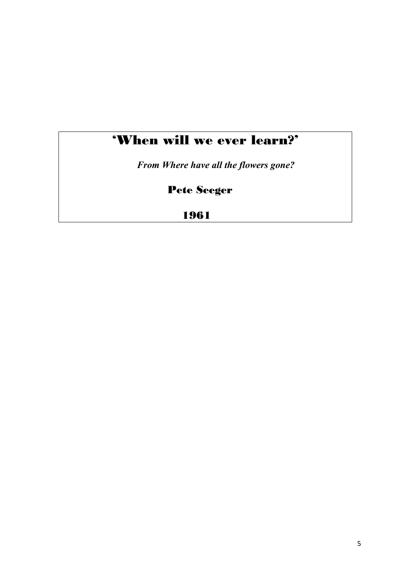## 'When will we ever learn?'

*From Where have all the flowers gone?* 

Pete Seeger

1961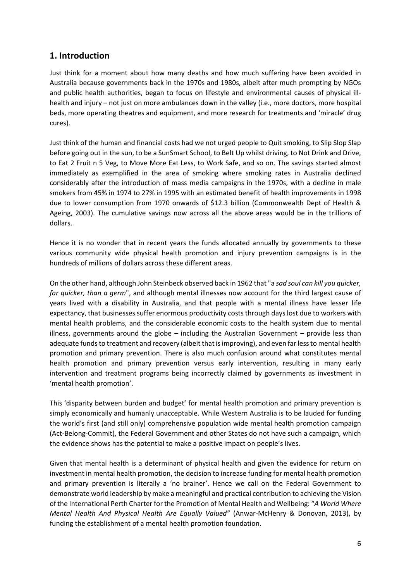#### **1. Introduction**

Just think for a moment about how many deaths and how much suffering have been avoided in Australia because governments back in the 1970s and 1980s, albeit after much prompting by NGOs and public health authorities, began to focus on lifestyle and environmental causes of physical illhealth and injury – not just on more ambulances down in the valley (i.e., more doctors, more hospital beds, more operating theatres and equipment, and more research for treatments and 'miracle' drug cures).

Just think of the human and financial costs had we not urged people to Quit smoking, to Slip Slop Slap before going out in the sun, to be a SunSmart School, to Belt Up whilst driving, to Not Drink and Drive, to Eat 2 Fruit n 5 Veg, to Move More Eat Less, to Work Safe, and so on. The savings started almost immediately as exemplified in the area of smoking where smoking rates in Australia declined considerably after the introduction of mass media campaigns in the 1970s, with a decline in male smokers from 45% in 1974 to 27% in 1995 with an estimated benefit of health improvements in 1998 due to lower consumption from 1970 onwards of \$12.3 billion (Commonwealth Dept of Health & Ageing, 2003). The cumulative savings now across all the above areas would be in the trillions of dollars.

Hence it is no wonder that in recent years the funds allocated annually by governments to these various community wide physical health promotion and injury prevention campaigns is in the hundreds of millions of dollars across these different areas.

On the other hand, although John Steinbeck observed back in 1962 that "a *sad soul can kill you quicker, far quicker, than a germ*", and although mental illnesses now account for the third largest cause of years lived with a disability in Australia, and that people with a mental illness have lesser life expectancy, that businesses suffer enormous productivity costs through days lost due to workers with mental health problems, and the considerable economic costs to the health system due to mental illness, governments around the globe  $-$  including the Australian Government  $-$  provide less than adequate funds to treatment and recovery (albeit that is improving), and even far less to mental health promotion and primary prevention. There is also much confusion around what constitutes mental health promotion and primary prevention versus early intervention, resulting in many early intervention and treatment programs being incorrectly claimed by governments as investment in 'mental health promotion'.

This 'disparity between burden and budget' for mental health promotion and primary prevention is simply economically and humanly unacceptable. While Western Australia is to be lauded for funding the world's first (and still only) comprehensive population wide mental health promotion campaign (Act‐Belong‐Commit), the Federal Government and other States do not have such a campaign, which the evidence shows has the potential to make a positive impact on people's lives.

Given that mental health is a determinant of physical health and given the evidence for return on investment in mental health promotion, the decision to increase funding for mental health promotion and primary prevention is literally a 'no brainer'. Hence we call on the Federal Government to demonstrate world leadership by make a meaningful and practical contribution to achieving the Vision of the International Perth Charter for the Promotion of Mental Health and Wellbeing: "*A World Where Mental Health And Physical Health Are Equally Valued"* (Anwar‐McHenry & Donovan, 2013), by funding the establishment of a mental health promotion foundation.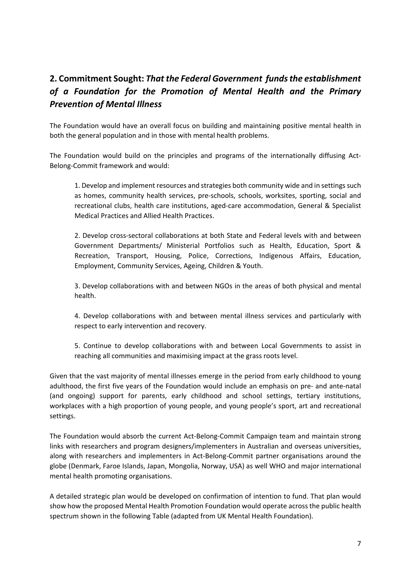## **2. Commitment Sought:** *That the Federal Government funds the establishment of a Foundation for the Promotion of Mental Health and the Primary Prevention of Mental Illness*

The Foundation would have an overall focus on building and maintaining positive mental health in both the general population and in those with mental health problems.

The Foundation would build on the principles and programs of the internationally diffusing Act-Belong‐Commit framework and would:

1. Develop and implement resources and strategies both community wide and in settings such as homes, community health services, pre-schools, schools, worksites, sporting, social and recreational clubs, health care institutions, aged‐care accommodation, General & Specialist Medical Practices and Allied Health Practices.

2. Develop cross‐sectoral collaborations at both State and Federal levels with and between Government Departments/ Ministerial Portfolios such as Health, Education, Sport & Recreation, Transport, Housing, Police, Corrections, Indigenous Affairs, Education, Employment, Community Services, Ageing, Children & Youth.

3. Develop collaborations with and between NGOs in the areas of both physical and mental health.

4. Develop collaborations with and between mental illness services and particularly with respect to early intervention and recovery.

5. Continue to develop collaborations with and between Local Governments to assist in reaching all communities and maximising impact at the grass roots level.

Given that the vast majority of mental illnesses emerge in the period from early childhood to young adulthood, the first five years of the Foundation would include an emphasis on pre‐ and ante‐natal (and ongoing) support for parents, early childhood and school settings, tertiary institutions, workplaces with a high proportion of young people, and young people's sport, art and recreational settings.

The Foundation would absorb the current Act‐Belong‐Commit Campaign team and maintain strong links with researchers and program designers/implementers in Australian and overseas universities, along with researchers and implementers in Act‐Belong‐Commit partner organisations around the globe (Denmark, Faroe Islands, Japan, Mongolia, Norway, USA) as well WHO and major international mental health promoting organisations.

A detailed strategic plan would be developed on confirmation of intention to fund. That plan would show how the proposed Mental Health Promotion Foundation would operate across the public health spectrum shown in the following Table (adapted from UK Mental Health Foundation).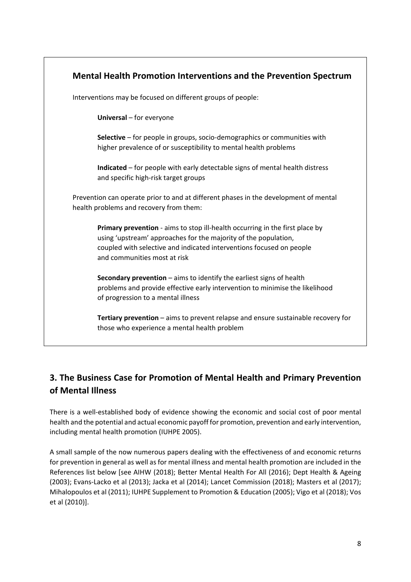| Mental Health Promotion Interventions and the Prevention Spectrum |                                                                                                                                                                                                                                                         |  |
|-------------------------------------------------------------------|---------------------------------------------------------------------------------------------------------------------------------------------------------------------------------------------------------------------------------------------------------|--|
|                                                                   | Interventions may be focused on different groups of people:                                                                                                                                                                                             |  |
|                                                                   | Universal - for everyone                                                                                                                                                                                                                                |  |
|                                                                   | Selective – for people in groups, socio-demographics or communities with<br>higher prevalence of or susceptibility to mental health problems                                                                                                            |  |
|                                                                   | Indicated – for people with early detectable signs of mental health distress<br>and specific high-risk target groups                                                                                                                                    |  |
|                                                                   | Prevention can operate prior to and at different phases in the development of mental<br>health problems and recovery from them:                                                                                                                         |  |
|                                                                   | Primary prevention - aims to stop ill-health occurring in the first place by<br>using 'upstream' approaches for the majority of the population,<br>coupled with selective and indicated interventions focused on people<br>and communities most at risk |  |
|                                                                   | Secondary prevention $-$ aims to identify the earliest signs of health<br>problems and provide effective early intervention to minimise the likelihood<br>of progression to a mental illness                                                            |  |
|                                                                   | Tertiary prevention - aims to prevent relapse and ensure sustainable recovery for<br>those who experience a mental health problem                                                                                                                       |  |

## **3. The Business Case for Promotion of Mental Health and Primary Prevention of Mental Illness**

There is a well-established body of evidence showing the economic and social cost of poor mental health and the potential and actual economic payoff for promotion, prevention and early intervention, including mental health promotion (IUHPE 2005).

A small sample of the now numerous papers dealing with the effectiveness of and economic returns for prevention in general as well as for mental illness and mental health promotion are included in the References list below [see AIHW (2018); Better Mental Health For All (2016); Dept Health & Ageing (2003); Evans‐Lacko et al (2013); Jacka et al (2014); Lancet Commission (2018); Masters et al (2017); Mihalopoulos et al (2011); IUHPE Supplement to Promotion & Education (2005); Vigo et al (2018); Vos et al (2010)].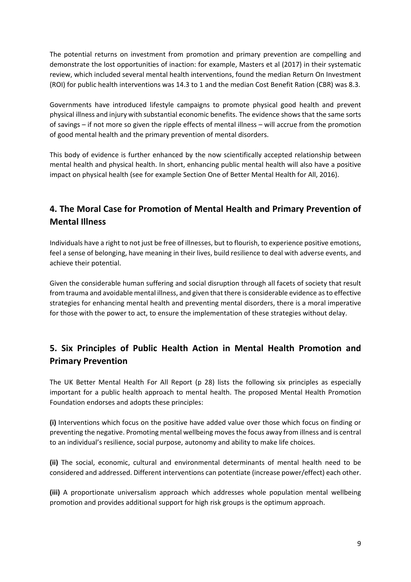The potential returns on investment from promotion and primary prevention are compelling and demonstrate the lost opportunities of inaction: for example, Masters et al (2017) in their systematic review, which included several mental health interventions, found the median Return On Investment (ROI) for public health interventions was 14.3 to 1 and the median Cost Benefit Ration (CBR) was 8.3.

Governments have introduced lifestyle campaigns to promote physical good health and prevent physical illness and injury with substantial economic benefits. The evidence shows that the same sorts of savings – if not more so given the ripple effects of mental illness – will accrue from the promotion of good mental health and the primary prevention of mental disorders.

This body of evidence is further enhanced by the now scientifically accepted relationship between mental health and physical health. In short, enhancing public mental health will also have a positive impact on physical health (see for example Section One of Better Mental Health for All, 2016).

## **4. The Moral Case for Promotion of Mental Health and Primary Prevention of Mental Illness**

Individuals have a right to not just be free of illnesses, but to flourish, to experience positive emotions, feel a sense of belonging, have meaning in their lives, build resilience to deal with adverse events, and achieve their potential.

Given the considerable human suffering and social disruption through all facets of society that result from trauma and avoidable mental illness, and given that there is considerable evidence as to effective strategies for enhancing mental health and preventing mental disorders, there is a moral imperative for those with the power to act, to ensure the implementation of these strategies without delay.

## **5. Six Principles of Public Health Action in Mental Health Promotion and Primary Prevention**

The UK Better Mental Health For All Report (p 28) lists the following six principles as especially important for a public health approach to mental health. The proposed Mental Health Promotion Foundation endorses and adopts these principles:

**(i)** Interventions which focus on the positive have added value over those which focus on finding or preventing the negative. Promoting mental wellbeing moves the focus away from illness and is central to an individual's resilience, social purpose, autonomy and ability to make life choices.

**(ii)**  The social, economic, cultural and environmental determinants of mental health need to be considered and addressed. Different interventions can potentiate (increase power/effect) each other.

**(iii)**  A proportionate universalism approach which addresses whole population mental wellbeing promotion and provides additional support for high risk groups is the optimum approach.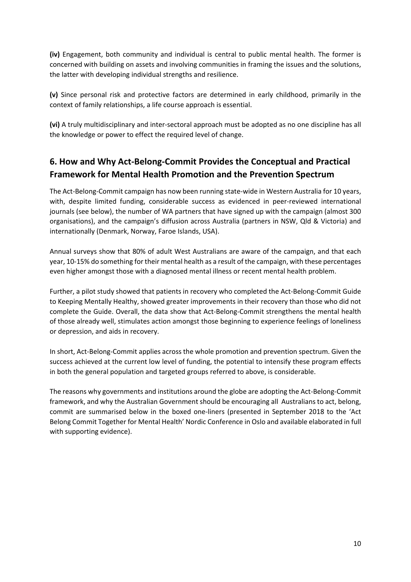**(iv)**  Engagement, both community and individual is central to public mental health. The former is concerned with building on assets and involving communities in framing the issues and the solutions, the latter with developing individual strengths and resilience.

**(v)**  Since personal risk and protective factors are determined in early childhood, primarily in the context of family relationships, a life course approach is essential.

**(vi)** A truly multidisciplinary and inter‐sectoral approach must be adopted as no one discipline has all the knowledge or power to effect the required level of change.

## **6. How and Why Act‐Belong‐Commit Provides the Conceptual and Practical Framework for Mental Health Promotion and the Prevention Spectrum**

The Act‐Belong‐Commit campaign has now been running state‐wide in Western Australia for 10 years, with, despite limited funding, considerable success as evidenced in peer-reviewed international journals (see below), the number of WA partners that have signed up with the campaign (almost 300 organisations), and the campaign's diffusion across Australia (partners in NSW, Qld & Victoria) and internationally (Denmark, Norway, Faroe Islands, USA).

Annual surveys show that 80% of adult West Australians are aware of the campaign, and that each year, 10‐15% do something for their mental health as a result of the campaign, with these percentages even higher amongst those with a diagnosed mental illness or recent mental health problem.

Further, a pilot study showed that patients in recovery who completed the Act-Belong-Commit Guide to Keeping Mentally Healthy, showed greater improvements in their recovery than those who did not complete the Guide. Overall, the data show that Act-Belong-Commit strengthens the mental health of those already well, stimulates action amongst those beginning to experience feelings of loneliness or depression, and aids in recovery.

In short, Act‐Belong‐Commit applies across the whole promotion and prevention spectrum. Given the success achieved at the current low level of funding, the potential to intensify these program effects in both the general population and targeted groups referred to above, is considerable.

The reasons why governments and institutions around the globe are adopting the Act‐Belong‐Commit framework, and why the Australian Government should be encouraging all Australians to act, belong, commit are summarised below in the boxed one-liners (presented in September 2018 to the 'Act Belong Commit Together for Mental Health' Nordic Conference in Oslo and available elaborated in full with supporting evidence).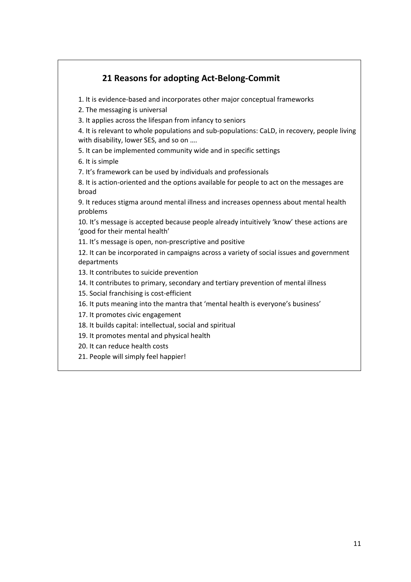### **21 Reasons for adopting Act‐Belong‐Commit**

1. It is evidence‐based and incorporates other major conceptual frameworks

2. The messaging is universal

3. It applies across the lifespan from infancy to seniors

4. It is relevant to whole populations and sub‐populations: CaLD, in recovery, people living with disability, lower SES, and so on ....

5. It can be implemented community wide and in specific settings

6. It is simple

7. It's framework can be used by individuals and professionals

8. It is action‐oriented and the options available for people to act on the messages are broad

9. It reduces stigma around mental illness and increases openness about mental health problems

10. It's message is accepted because people already intuitively 'know' these actions are 'good for their mental health'

11. It's message is open, non‐prescriptive and positive

12. It can be incorporated in campaigns across a variety of social issues and government departments

13. It contributes to suicide prevention

14. It contributes to primary, secondary and tertiary prevention of mental illness

15. Social franchising is cost-efficient

16. It puts meaning into the mantra that 'mental health is everyone's business'

17. It promotes civic engagement

18. It builds capital: intellectual, social and spiritual

19. It promotes mental and physical health

20. It can reduce health costs

21. People will simply feel happier!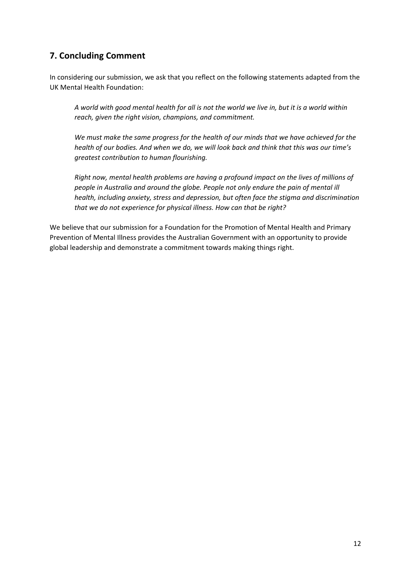#### **7. Concluding Comment**

In considering our submission, we ask that you reflect on the following statements adapted from the UK Mental Health Foundation:

*A world with good mental health for all is not the world we live in, but it is a world within reach, given the right vision, champions, and commitment.* 

*We must make the same progress for the health of our minds that we have achieved for the health of our bodies. And when we do, we will look back and think that this was our time's greatest contribution to human flourishing.* 

*Right now, mental health problems are having a profound impact on the lives of millions of people in Australia and around the globe. People not only endure the pain of mental ill health, including anxiety, stress and depression, but often face the stigma and discrimination that we do not experience for physical illness. How can that be right?* 

We believe that our submission for a Foundation for the Promotion of Mental Health and Primary Prevention of Mental Illness provides the Australian Government with an opportunity to provide global leadership and demonstrate a commitment towards making things right.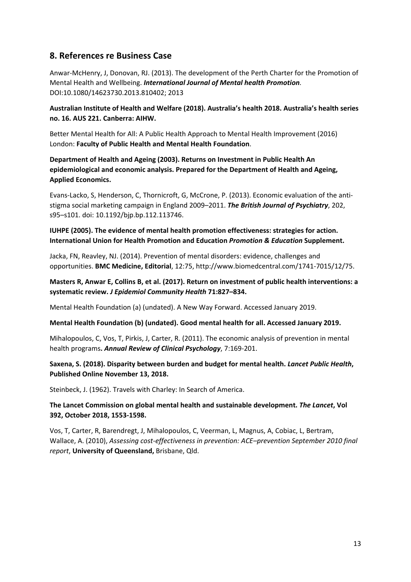#### **8. References re Business Case**

Anwar‐McHenry, J, Donovan, RJ. (2013). The development of the Perth Charter for the Promotion of Mental Health and Wellbeing. *International Journal of Mental health Promotion.* DOI:10.1080/14623730.2013.810402; 2013

#### **Australian Institute of Health and Welfare (2018). Australia's health 2018. Australia's health series no. 16. AUS 221. Canberra: AIHW.**

Better Mental Health for All: A Public Health Approach to Mental Health Improvement (2016) London: **Faculty of Public Health and Mental Health Foundation**.

#### **Department of Health and Ageing (2003). Returns on Investment in Public Health An epidemiological and economic analysis. Prepared for the Department of Health and Ageing, Applied Economics.**

Evans‐Lacko, S, Henderson, C, Thornicroft, G, McCrone, P. (2013). Economic evaluation of the anti‐ stigma social marketing campaign in England 2009–2011. *The British Journal of Psychiatry*, 202, s95–s101. doi: 10.1192/bjp.bp.112.113746.

#### **IUHPE (2005). The evidence of mental health promotion effectiveness: strategies for action. International Union for Health Promotion and Education** *Promotion & Education* **Supplement.**

Jacka, FN, Reavley, NJ. (2014). Prevention of mental disorders: evidence, challenges and opportunities. **BMC Medicine, Editorial**, 12:75, http://www.biomedcentral.com/1741‐7015/12/75.

#### **Masters R, Anwar E, Collins B, et al. (2017). Return on investment of public health interventions: a systematic review.** *J Epidemiol Community Health* **71:827–834.**

Mental Health Foundation (a) (undated). A New Way Forward. Accessed January 2019.

#### **Mental Health Foundation (b) (undated). Good mental health for all. Accessed January 2019.**

Mihalopoulos, C, Vos, T, Pirkis, J, Carter, R. (2011). The economic analysis of prevention in mental health programs**.** *Annual Review of Clinical Psychology*, 7:169‐201.

#### **Saxena, S. (2018). Disparity between burden and budget for mental health.** *Lancet Public Health***, Published Online November 13, 2018.**

Steinbeck, J. (1962). Travels with Charley: In Search of America.

**The Lancet Commission on global mental health and sustainable development.** *The Lancet***, Vol 392, October 2018, 1553‐1598.** 

Vos, T, Carter, R, Barendregt, J, Mihalopoulos, C, Veerman, L, Magnus, A, Cobiac, L, Bertram, Wallace, A. (2010), *Assessing cost‐effectiveness in prevention: ACE–prevention September 2010 final report*, **University of Queensland,** Brisbane, Qld.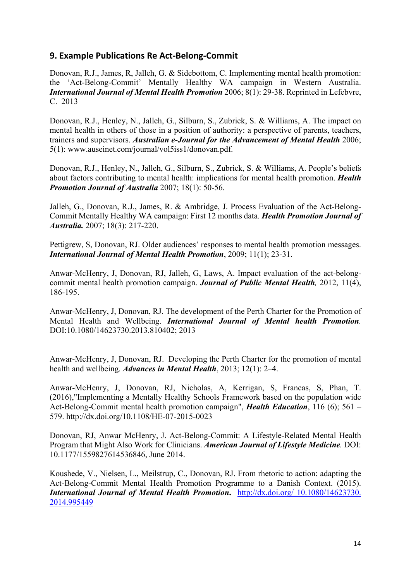#### **9. Example Publications Re Act‐Belong‐Commit**

Donovan, R.J., James, R, Jalleh, G. & Sidebottom, C. Implementing mental health promotion: the 'Act-Belong-Commit' Mentally Healthy WA campaign in Western Australia. *International Journal of Mental Health Promotion* 2006; 8(1): 29-38. Reprinted in Lefebvre, C. 2013

Donovan, R.J., Henley, N., Jalleh, G., Silburn, S., Zubrick, S. & Williams, A. The impact on mental health in others of those in a position of authority: a perspective of parents, teachers, trainers and supervisors. *Australian e-Journal for the Advancement of Mental Health* 2006; 5(1): www.auseinet.com/journal/vol5iss1/donovan.pdf.

Donovan, R.J., Henley, N., Jalleh, G., Silburn, S., Zubrick, S. & Williams, A. People's beliefs about factors contributing to mental health: implications for mental health promotion. *Health Promotion Journal of Australia* 2007; 18(1): 50-56.

Jalleh, G., Donovan, R.J., James, R. & Ambridge, J. Process Evaluation of the Act-Belong-Commit Mentally Healthy WA campaign: First 12 months data. *Health Promotion Journal of Australia.* 2007; 18(3): 217-220.

Pettigrew, S, Donovan, RJ. Older audiences' responses to mental health promotion messages. *International Journal of Mental Health Promotion*, 2009; 11(1); 23-31.

Anwar-McHenry, J, Donovan, RJ, Jalleh, G, Laws, A. Impact evaluation of the act-belongcommit mental health promotion campaign. *Journal of Public Mental Health,* 2012, 11(4), 186-195.

Anwar-McHenry, J, Donovan, RJ. The development of the Perth Charter for the Promotion of Mental Health and Wellbeing. *International Journal of Mental health Promotion.* DOI:10.1080/14623730.2013.810402; 2013

Anwar-McHenry, J, Donovan, RJ. Developing the Perth Charter for the promotion of mental health and wellbeing. *Advances in Mental Health*, 2013; 12(1): 2–4.

Anwar-McHenry, J, Donovan, RJ, Nicholas, A, Kerrigan, S, Francas, S, Phan, T. (2016),"Implementing a Mentally Healthy Schools Framework based on the population wide Act-Belong-Commit mental health promotion campaign", *Health Education*, 116 (6); 561 – 579. http://dx.doi.org/10.1108/HE-07-2015-0023

Donovan, RJ, Anwar McHenry, J. Act-Belong-Commit: A Lifestyle-Related Mental Health Program that Might Also Work for Clinicians. *American Journal of Lifestyle Medicine.* DOI: 10.1177/1559827614536846, June 2014.

Koushede, V., Nielsen, L., Meilstrup, C., Donovan, RJ. From rhetoric to action: adapting the Act-Belong-Commit Mental Health Promotion Programme to a Danish Context. (2015). *International Journal of Mental Health Promotion***.** http://dx.doi.org/ 10.1080/14623730. 2014.995449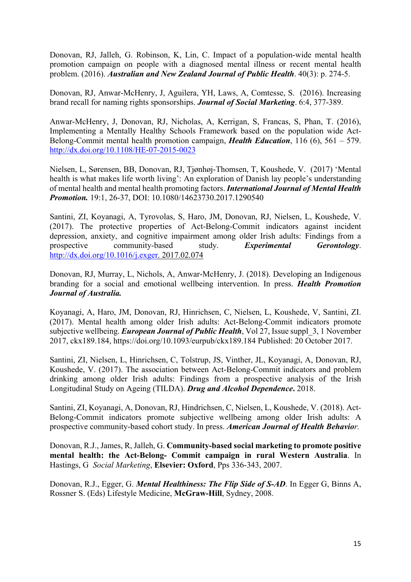Donovan, RJ, Jalleh, G. Robinson, K, Lin, C. Impact of a population-wide mental health promotion campaign on people with a diagnosed mental illness or recent mental health problem. (2016). *Australian and New Zealand Journal of Public Health*. 40(3): p. 274-5.

Donovan, RJ, Anwar-McHenry, J, Aguilera, YH, Laws, A, Comtesse, S. (2016). Increasing brand recall for naming rights sponsorships. *Journal of Social Marketing*. 6:4, 377-389.

Anwar-McHenry, J, Donovan, RJ, Nicholas, A, Kerrigan, S, Francas, S, Phan, T. (2016), Implementing a Mentally Healthy Schools Framework based on the population wide Act-Belong-Commit mental health promotion campaign, *Health Education*, 116 (6), 561 – 579. http://dx.doi.org/10.1108/HE-07-2015-0023

Nielsen, L, Sørensen, BB, Donovan, RJ, Tjønhøj-Thomsen, T, Koushede, V. (2017) 'Mental health is what makes life worth living': An exploration of Danish lay people's understanding of mental health and mental health promoting factors. *International Journal of Mental Health Promotion.* 19:1, 26-37, DOI: 10.1080/14623730.2017.1290540

Santini, ZI, Koyanagi, A, Tyrovolas, S, Haro, JM, Donovan, RJ, Nielsen, L, Koushede, V. (2017). The protective properties of Act-Belong-Commit indicators against incident depression, anxiety, and cognitive impairment among older Irish adults: Findings from a prospective community-based study. *Experimental Gerontology*. http://dx.doi.org/10.1016/j.exger. 2017.02.074

Donovan, RJ, Murray, L, Nichols, A, Anwar-McHenry, J. (2018). Developing an Indigenous branding for a social and emotional wellbeing intervention. In press. *Health Promotion Journal of Australia.* 

Koyanagi, A, Haro, JM, Donovan, RJ, Hinrichsen, C, Nielsen, L, Koushede, V, Santini, ZI. (2017). Mental health among older Irish adults: Act-Belong-Commit indicators promote subjective wellbeing. *European Journal of Public Health*, Vol 27, Issue suppl\_3, 1 November 2017, ckx189.184, https://doi.org/10.1093/eurpub/ckx189.184 Published: 20 October 2017.

Santini, ZI, Nielsen, L, Hinrichsen, C, Tolstrup, JS, Vinther, JL, Koyanagi, A, Donovan, RJ, Koushede, V. (2017). The association between Act-Belong-Commit indicators and problem drinking among older Irish adults: Findings from a prospective analysis of the Irish Longitudinal Study on Ageing (TILDA). *Drug and Alcohol Dependence***.** 2018.

Santini, ZI, Koyanagi, A, Donovan, RJ, Hindrichsen, C, Nielsen, L, Koushede, V. (2018). Act-Belong-Commit indicators promote subjective wellbeing among older Irish adults: A prospective community-based cohort study. In press. *American Journal of Health Behavior.*

Donovan, R.J., James, R, Jalleh, G. **Community-based social marketing to promote positive mental health: the Act-Belong- Commit campaign in rural Western Australia**. In Hastings, G *Social Marketing*, **Elsevier: Oxford**, Pps 336-343, 2007.

Donovan, R.J., Egger, G. *Mental Healthiness: The Flip Side of S-AD*. In Egger G, Binns A, Rossner S. (Eds) Lifestyle Medicine, **McGraw-Hill**, Sydney, 2008.